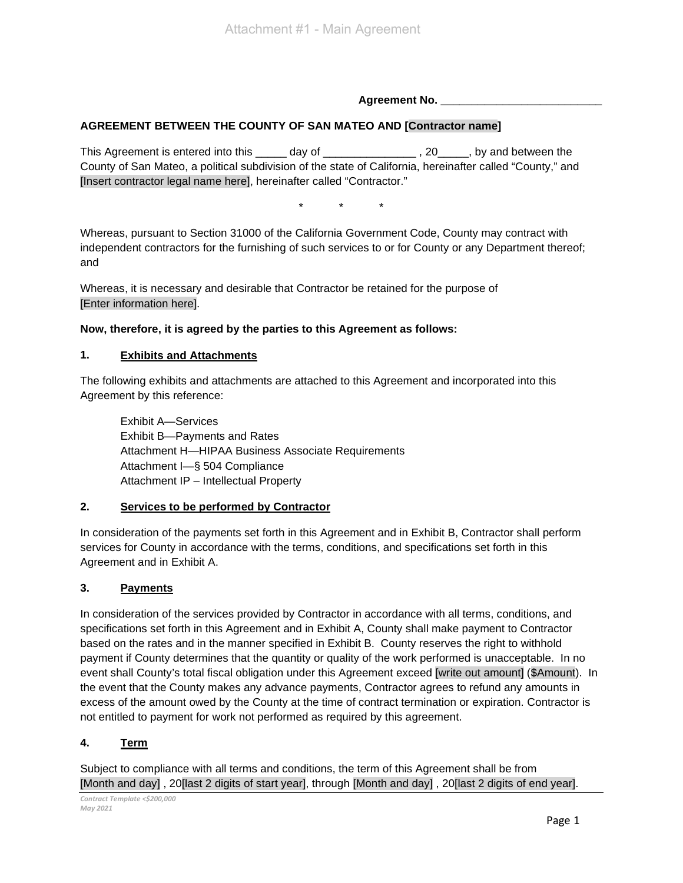**Agreement No. \_\_\_\_\_\_\_\_\_\_\_\_\_\_\_\_\_\_\_\_\_\_\_\_\_\_**

## **AGREEMENT BETWEEN THE COUNTY OF SAN MATEO AND [Contractor name]**

This Agreement is entered into this \_\_\_\_\_ day of \_\_\_\_\_\_\_\_\_\_\_\_\_\_\_\_\_\_\_\_, 20\_\_\_\_\_, by and between the County of San Mateo, a political subdivision of the state of California, hereinafter called "County," and [Insert contractor legal name here], hereinafter called "Contractor."

\* \* \*

Whereas, pursuant to Section 31000 of the California Government Code, County may contract with independent contractors for the furnishing of such services to or for County or any Department thereof; and

Whereas, it is necessary and desirable that Contractor be retained for the purpose of [Enter information here].

**Now, therefore, it is agreed by the parties to this Agreement as follows:**

#### **1. Exhibits and Attachments**

The following exhibits and attachments are attached to this Agreement and incorporated into this Agreement by this reference:

Exhibit A—Services Exhibit B—Payments and Rates Attachment H—HIPAA Business Associate Requirements Attachment I—§ 504 Compliance Attachment IP – Intellectual Property

#### **2. Services to be performed by Contractor**

In consideration of the payments set forth in this Agreement and in Exhibit B, Contractor shall perform services for County in accordance with the terms, conditions, and specifications set forth in this Agreement and in Exhibit A.

#### **3. Payments**

In consideration of the services provided by Contractor in accordance with all terms, conditions, and specifications set forth in this Agreement and in Exhibit A, County shall make payment to Contractor based on the rates and in the manner specified in Exhibit B. County reserves the right to withhold payment if County determines that the quantity or quality of the work performed is unacceptable. In no event shall County's total fiscal obligation under this Agreement exceed [write out amount] (\$Amount). In the event that the County makes any advance payments, Contractor agrees to refund any amounts in excess of the amount owed by the County at the time of contract termination or expiration. Contractor is not entitled to payment for work not performed as required by this agreement.

## **4. Term**

Subject to compliance with all terms and conditions, the term of this Agreement shall be from [Month and day] , 20[last 2 digits of start year], through [Month and day] , 20[last 2 digits of end year].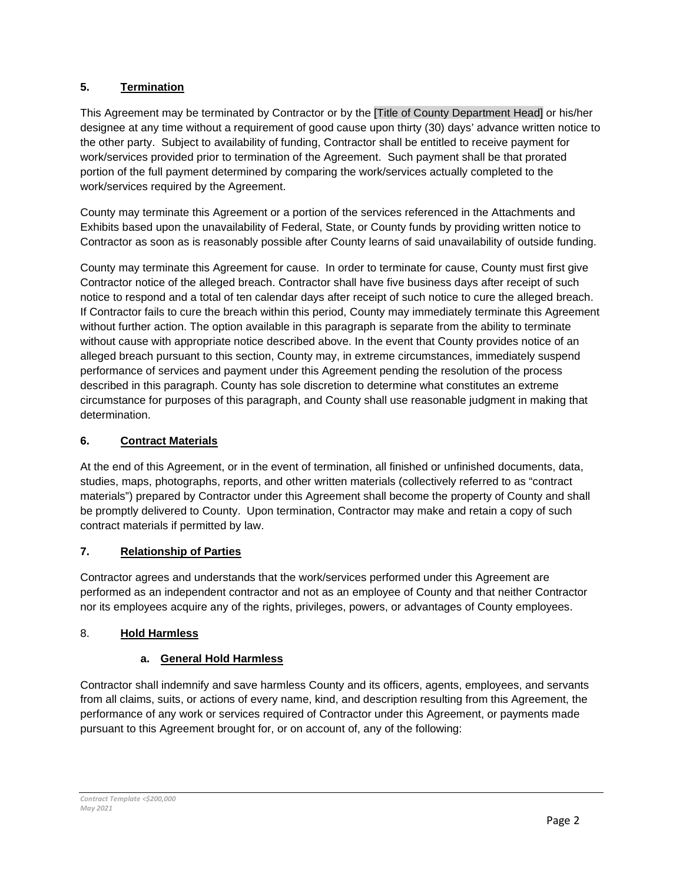## **5. Termination**

This Agreement may be terminated by Contractor or by the [Title of County Department Head] or his/her designee at any time without a requirement of good cause upon thirty (30) days' advance written notice to the other party. Subject to availability of funding, Contractor shall be entitled to receive payment for work/services provided prior to termination of the Agreement. Such payment shall be that prorated portion of the full payment determined by comparing the work/services actually completed to the work/services required by the Agreement.

County may terminate this Agreement or a portion of the services referenced in the Attachments and Exhibits based upon the unavailability of Federal, State, or County funds by providing written notice to Contractor as soon as is reasonably possible after County learns of said unavailability of outside funding.

County may terminate this Agreement for cause. In order to terminate for cause, County must first give Contractor notice of the alleged breach. Contractor shall have five business days after receipt of such notice to respond and a total of ten calendar days after receipt of such notice to cure the alleged breach. If Contractor fails to cure the breach within this period, County may immediately terminate this Agreement without further action. The option available in this paragraph is separate from the ability to terminate without cause with appropriate notice described above. In the event that County provides notice of an alleged breach pursuant to this section, County may, in extreme circumstances, immediately suspend performance of services and payment under this Agreement pending the resolution of the process described in this paragraph. County has sole discretion to determine what constitutes an extreme circumstance for purposes of this paragraph, and County shall use reasonable judgment in making that determination.

## **6. Contract Materials**

At the end of this Agreement, or in the event of termination, all finished or unfinished documents, data, studies, maps, photographs, reports, and other written materials (collectively referred to as "contract materials") prepared by Contractor under this Agreement shall become the property of County and shall be promptly delivered to County. Upon termination, Contractor may make and retain a copy of such contract materials if permitted by law.

## **7. Relationship of Parties**

Contractor agrees and understands that the work/services performed under this Agreement are performed as an independent contractor and not as an employee of County and that neither Contractor nor its employees acquire any of the rights, privileges, powers, or advantages of County employees.

## 8. **Hold Harmless**

## **a. General Hold Harmless**

Contractor shall indemnify and save harmless County and its officers, agents, employees, and servants from all claims, suits, or actions of every name, kind, and description resulting from this Agreement, the performance of any work or services required of Contractor under this Agreement, or payments made pursuant to this Agreement brought for, or on account of, any of the following: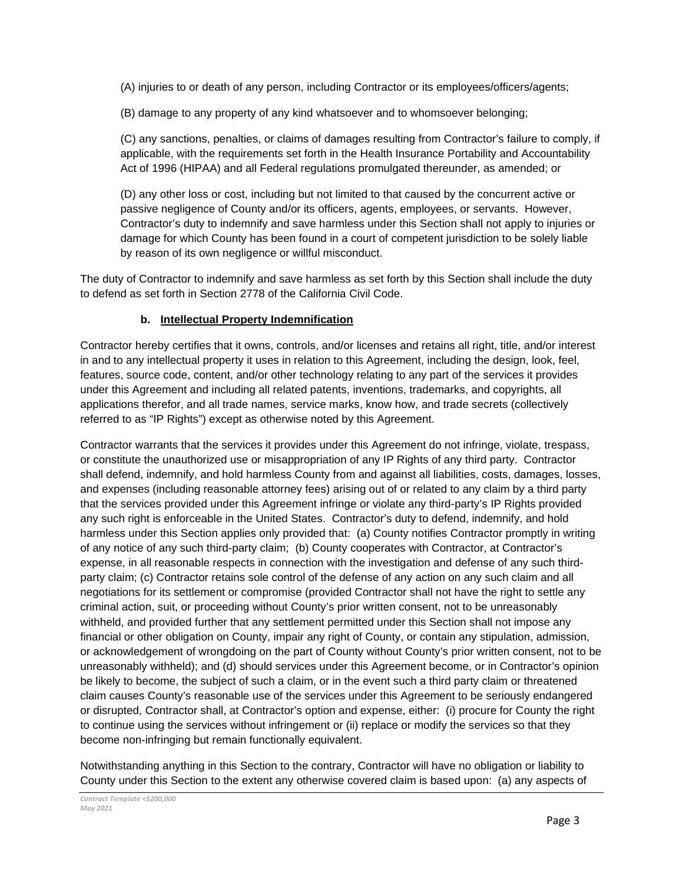(A) injuries to or death of any person, including Contractor or its employees/officers/agents;

(B) damage to any property of any kind whatsoever and to whomsoever belonging;

(C) any sanctions, penalties, or claims of damages resulting from Contractor's failure to comply, if applicable, with the requirements set forth in the Health Insurance Portability and Accountability Act of 1996 (HIPAA) and all Federal regulations promulgated thereunder, as amended; or

(D) any other loss or cost, including but not limited to that caused by the concurrent active or passive negligence of County and/or its officers, agents, employees, or servants. However, Contractor's duty to indemnify and save harmless under this Section shall not apply to injuries or damage for which County has been found in a court of competent jurisdiction to be solely liable by reason of its own negligence or willful misconduct.

The duty of Contractor to indemnify and save harmless as set forth by this Section shall include the duty to defend as set forth in Section 2778 of the California Civil Code.

#### **b. Intellectual Property Indemnification**

Contractor hereby certifies that it owns, controls, and/or licenses and retains all right, title, and/or interest in and to any intellectual property it uses in relation to this Agreement, including the design, look, feel, features, source code, content, and/or other technology relating to any part of the services it provides under this Agreement and including all related patents, inventions, trademarks, and copyrights, all applications therefor, and all trade names, service marks, know how, and trade secrets (collectively referred to as "IP Rights") except as otherwise noted by this Agreement.

Contractor warrants that the services it provides under this Agreement do not infringe, violate, trespass, or constitute the unauthorized use or misappropriation of any IP Rights of any third party. Contractor shall defend, indemnify, and hold harmless County from and against all liabilities, costs, damages, losses, and expenses (including reasonable attorney fees) arising out of or related to any claim by a third party that the services provided under this Agreement infringe or violate any third-party's IP Rights provided any such right is enforceable in the United States. Contractor's duty to defend, indemnify, and hold harmless under this Section applies only provided that: (a) County notifies Contractor promptly in writing of any notice of any such third-party claim; (b) County cooperates with Contractor, at Contractor's expense, in all reasonable respects in connection with the investigation and defense of any such thirdparty claim; (c) Contractor retains sole control of the defense of any action on any such claim and all negotiations for its settlement or compromise (provided Contractor shall not have the right to settle any criminal action, suit, or proceeding without County's prior written consent, not to be unreasonably withheld, and provided further that any settlement permitted under this Section shall not impose any financial or other obligation on County, impair any right of County, or contain any stipulation, admission, or acknowledgement of wrongdoing on the part of County without County's prior written consent, not to be unreasonably withheld); and (d) should services under this Agreement become, or in Contractor's opinion be likely to become, the subject of such a claim, or in the event such a third party claim or threatened claim causes County's reasonable use of the services under this Agreement to be seriously endangered or disrupted, Contractor shall, at Contractor's option and expense, either: (i) procure for County the right to continue using the services without infringement or (ii) replace or modify the services so that they become non-infringing but remain functionally equivalent.

Notwithstanding anything in this Section to the contrary, Contractor will have no obligation or liability to County under this Section to the extent any otherwise covered claim is based upon: (a) any aspects of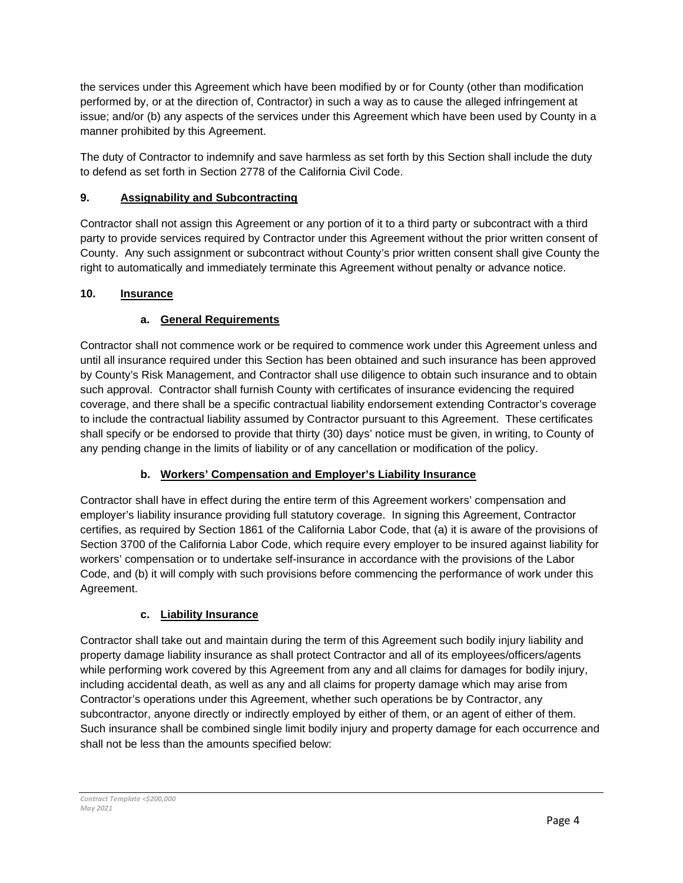the services under this Agreement which have been modified by or for County (other than modification performed by, or at the direction of, Contractor) in such a way as to cause the alleged infringement at issue; and/or (b) any aspects of the services under this Agreement which have been used by County in a manner prohibited by this Agreement.

The duty of Contractor to indemnify and save harmless as set forth by this Section shall include the duty to defend as set forth in Section 2778 of the California Civil Code.

## **9. Assignability and Subcontracting**

Contractor shall not assign this Agreement or any portion of it to a third party or subcontract with a third party to provide services required by Contractor under this Agreement without the prior written consent of County. Any such assignment or subcontract without County's prior written consent shall give County the right to automatically and immediately terminate this Agreement without penalty or advance notice.

## **10. Insurance**

## **a. General Requirements**

Contractor shall not commence work or be required to commence work under this Agreement unless and until all insurance required under this Section has been obtained and such insurance has been approved by County's Risk Management, and Contractor shall use diligence to obtain such insurance and to obtain such approval. Contractor shall furnish County with certificates of insurance evidencing the required coverage, and there shall be a specific contractual liability endorsement extending Contractor's coverage to include the contractual liability assumed by Contractor pursuant to this Agreement. These certificates shall specify or be endorsed to provide that thirty (30) days' notice must be given, in writing, to County of any pending change in the limits of liability or of any cancellation or modification of the policy.

## **b. Workers' Compensation and Employer's Liability Insurance**

Contractor shall have in effect during the entire term of this Agreement workers' compensation and employer's liability insurance providing full statutory coverage. In signing this Agreement, Contractor certifies, as required by Section 1861 of the California Labor Code, that (a) it is aware of the provisions of Section 3700 of the California Labor Code, which require every employer to be insured against liability for workers' compensation or to undertake self-insurance in accordance with the provisions of the Labor Code, and (b) it will comply with such provisions before commencing the performance of work under this Agreement.

## **c. Liability Insurance**

Contractor shall take out and maintain during the term of this Agreement such bodily injury liability and property damage liability insurance as shall protect Contractor and all of its employees/officers/agents while performing work covered by this Agreement from any and all claims for damages for bodily injury, including accidental death, as well as any and all claims for property damage which may arise from Contractor's operations under this Agreement, whether such operations be by Contractor, any subcontractor, anyone directly or indirectly employed by either of them, or an agent of either of them. Such insurance shall be combined single limit bodily injury and property damage for each occurrence and shall not be less than the amounts specified below: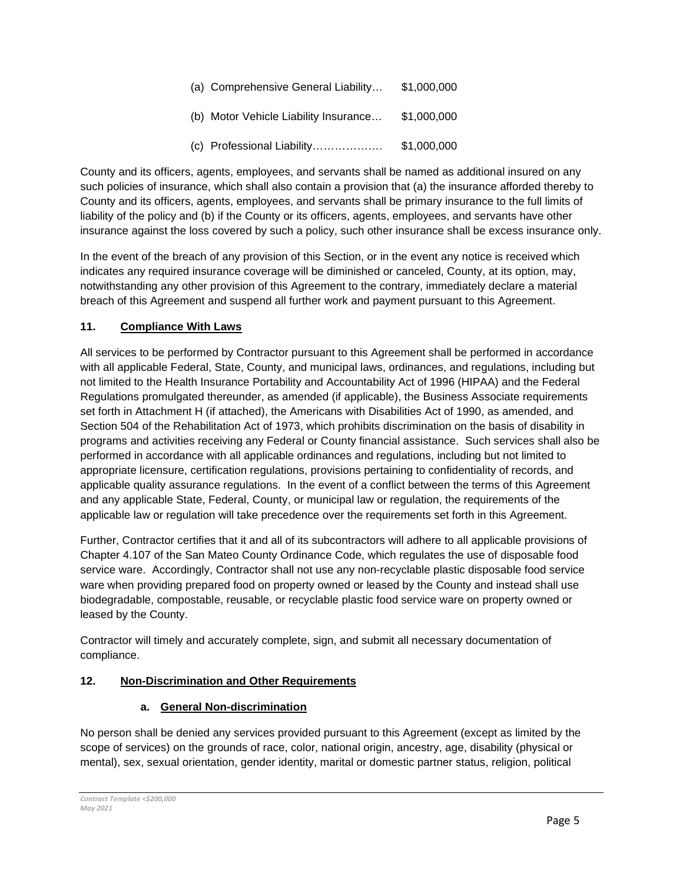| (a) Comprehensive General Liability   | \$1,000,000 |
|---------------------------------------|-------------|
| (b) Motor Vehicle Liability Insurance | \$1,000,000 |
| (c) Professional Liability            | \$1,000,000 |

County and its officers, agents, employees, and servants shall be named as additional insured on any such policies of insurance, which shall also contain a provision that (a) the insurance afforded thereby to County and its officers, agents, employees, and servants shall be primary insurance to the full limits of liability of the policy and (b) if the County or its officers, agents, employees, and servants have other insurance against the loss covered by such a policy, such other insurance shall be excess insurance only.

In the event of the breach of any provision of this Section, or in the event any notice is received which indicates any required insurance coverage will be diminished or canceled, County, at its option, may, notwithstanding any other provision of this Agreement to the contrary, immediately declare a material breach of this Agreement and suspend all further work and payment pursuant to this Agreement.

## **11. Compliance With Laws**

All services to be performed by Contractor pursuant to this Agreement shall be performed in accordance with all applicable Federal, State, County, and municipal laws, ordinances, and regulations, including but not limited to the Health Insurance Portability and Accountability Act of 1996 (HIPAA) and the Federal Regulations promulgated thereunder, as amended (if applicable), the Business Associate requirements set forth in Attachment H (if attached), the Americans with Disabilities Act of 1990, as amended, and Section 504 of the Rehabilitation Act of 1973, which prohibits discrimination on the basis of disability in programs and activities receiving any Federal or County financial assistance. Such services shall also be performed in accordance with all applicable ordinances and regulations, including but not limited to appropriate licensure, certification regulations, provisions pertaining to confidentiality of records, and applicable quality assurance regulations. In the event of a conflict between the terms of this Agreement and any applicable State, Federal, County, or municipal law or regulation, the requirements of the applicable law or regulation will take precedence over the requirements set forth in this Agreement.

Further, Contractor certifies that it and all of its subcontractors will adhere to all applicable provisions of Chapter 4.107 of the San Mateo County Ordinance Code, which regulates the use of disposable food service ware. Accordingly, Contractor shall not use any non-recyclable plastic disposable food service ware when providing prepared food on property owned or leased by the County and instead shall use biodegradable, compostable, reusable, or recyclable plastic food service ware on property owned or leased by the County.

Contractor will timely and accurately complete, sign, and submit all necessary documentation of compliance.

## **12. Non-Discrimination and Other Requirements**

## **a. General Non-discrimination**

No person shall be denied any services provided pursuant to this Agreement (except as limited by the scope of services) on the grounds of race, color, national origin, ancestry, age, disability (physical or mental), sex, sexual orientation, gender identity, marital or domestic partner status, religion, political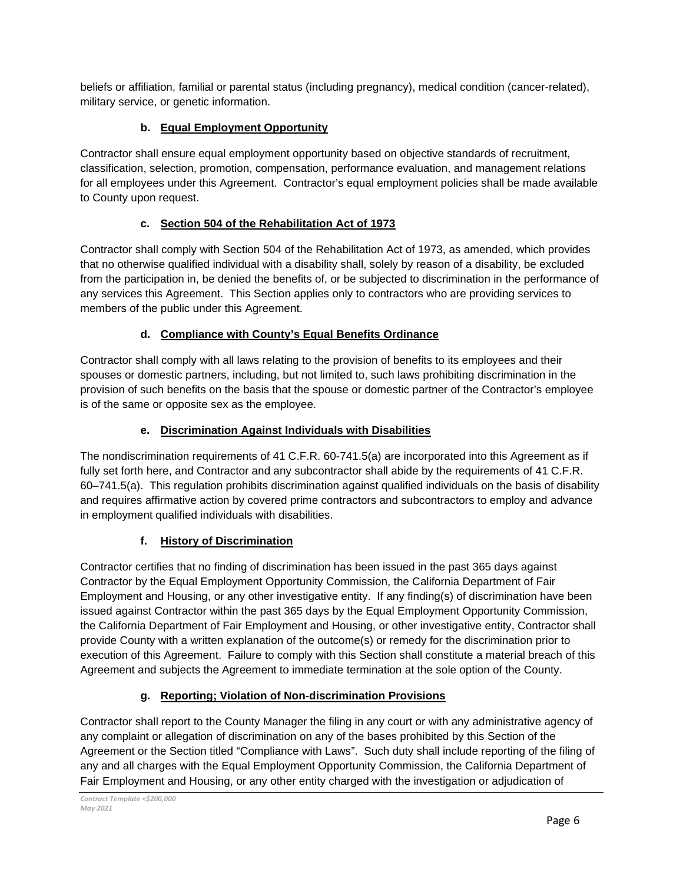beliefs or affiliation, familial or parental status (including pregnancy), medical condition (cancer-related), military service, or genetic information.

## **b. Equal Employment Opportunity**

Contractor shall ensure equal employment opportunity based on objective standards of recruitment, classification, selection, promotion, compensation, performance evaluation, and management relations for all employees under this Agreement. Contractor's equal employment policies shall be made available to County upon request.

## **c. Section 504 of the Rehabilitation Act of 1973**

Contractor shall comply with Section 504 of the Rehabilitation Act of 1973, as amended, which provides that no otherwise qualified individual with a disability shall, solely by reason of a disability, be excluded from the participation in, be denied the benefits of, or be subjected to discrimination in the performance of any services this Agreement. This Section applies only to contractors who are providing services to members of the public under this Agreement.

## **d. Compliance with County's Equal Benefits Ordinance**

Contractor shall comply with all laws relating to the provision of benefits to its employees and their spouses or domestic partners, including, but not limited to, such laws prohibiting discrimination in the provision of such benefits on the basis that the spouse or domestic partner of the Contractor's employee is of the same or opposite sex as the employee.

## **e. Discrimination Against Individuals with Disabilities**

The nondiscrimination requirements of 41 C.F.R. 60-741.5(a) are incorporated into this Agreement as if fully set forth here, and Contractor and any subcontractor shall abide by the requirements of 41 C.F.R. 60–741.5(a). This regulation prohibits discrimination against qualified individuals on the basis of disability and requires affirmative action by covered prime contractors and subcontractors to employ and advance in employment qualified individuals with disabilities.

## **f. History of Discrimination**

Contractor certifies that no finding of discrimination has been issued in the past 365 days against Contractor by the Equal Employment Opportunity Commission, the California Department of Fair Employment and Housing, or any other investigative entity. If any finding(s) of discrimination have been issued against Contractor within the past 365 days by the Equal Employment Opportunity Commission, the California Department of Fair Employment and Housing, or other investigative entity, Contractor shall provide County with a written explanation of the outcome(s) or remedy for the discrimination prior to execution of this Agreement. Failure to comply with this Section shall constitute a material breach of this Agreement and subjects the Agreement to immediate termination at the sole option of the County.

# **g. Reporting; Violation of Non-discrimination Provisions**

Contractor shall report to the County Manager the filing in any court or with any administrative agency of any complaint or allegation of discrimination on any of the bases prohibited by this Section of the Agreement or the Section titled "Compliance with Laws". Such duty shall include reporting of the filing of any and all charges with the Equal Employment Opportunity Commission, the California Department of Fair Employment and Housing, or any other entity charged with the investigation or adjudication of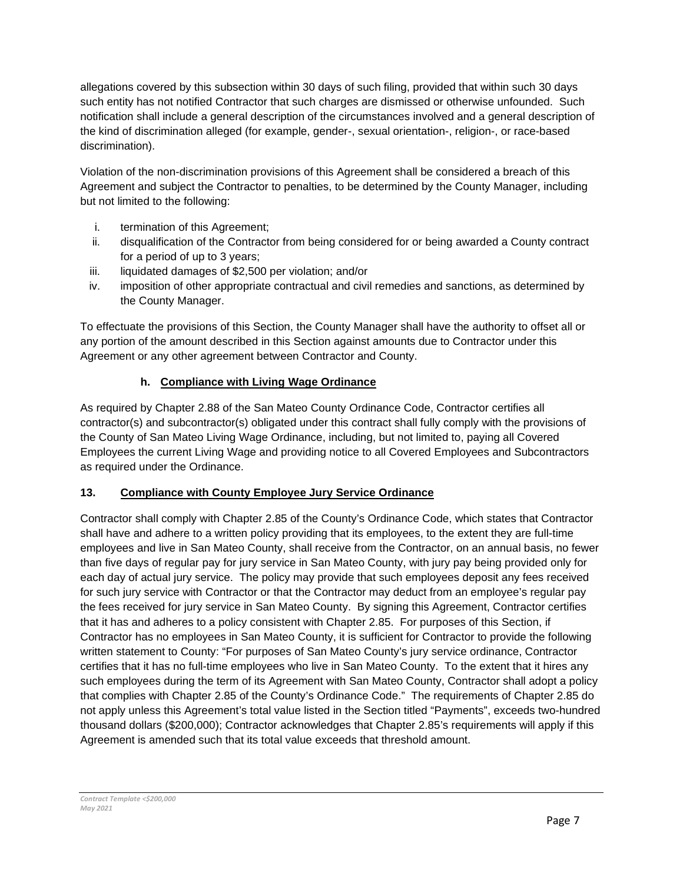allegations covered by this subsection within 30 days of such filing, provided that within such 30 days such entity has not notified Contractor that such charges are dismissed or otherwise unfounded. Such notification shall include a general description of the circumstances involved and a general description of the kind of discrimination alleged (for example, gender-, sexual orientation-, religion-, or race-based discrimination).

Violation of the non-discrimination provisions of this Agreement shall be considered a breach of this Agreement and subject the Contractor to penalties, to be determined by the County Manager, including but not limited to the following:

- i. termination of this Agreement;
- ii. disqualification of the Contractor from being considered for or being awarded a County contract for a period of up to 3 years;
- iii. liquidated damages of \$2,500 per violation; and/or
- iv. imposition of other appropriate contractual and civil remedies and sanctions, as determined by the County Manager.

To effectuate the provisions of this Section, the County Manager shall have the authority to offset all or any portion of the amount described in this Section against amounts due to Contractor under this Agreement or any other agreement between Contractor and County.

## **h. Compliance with Living Wage Ordinance**

As required by Chapter 2.88 of the San Mateo County Ordinance Code, Contractor certifies all contractor(s) and subcontractor(s) obligated under this contract shall fully comply with the provisions of the County of San Mateo Living Wage Ordinance, including, but not limited to, paying all Covered Employees the current Living Wage and providing notice to all Covered Employees and Subcontractors as required under the Ordinance.

## **13. Compliance with County Employee Jury Service Ordinance**

Contractor shall comply with Chapter 2.85 of the County's Ordinance Code, which states that Contractor shall have and adhere to a written policy providing that its employees, to the extent they are full-time employees and live in San Mateo County, shall receive from the Contractor, on an annual basis, no fewer than five days of regular pay for jury service in San Mateo County, with jury pay being provided only for each day of actual jury service. The policy may provide that such employees deposit any fees received for such jury service with Contractor or that the Contractor may deduct from an employee's regular pay the fees received for jury service in San Mateo County. By signing this Agreement, Contractor certifies that it has and adheres to a policy consistent with Chapter 2.85. For purposes of this Section, if Contractor has no employees in San Mateo County, it is sufficient for Contractor to provide the following written statement to County: "For purposes of San Mateo County's jury service ordinance, Contractor certifies that it has no full-time employees who live in San Mateo County. To the extent that it hires any such employees during the term of its Agreement with San Mateo County, Contractor shall adopt a policy that complies with Chapter 2.85 of the County's Ordinance Code." The requirements of Chapter 2.85 do not apply unless this Agreement's total value listed in the Section titled "Payments", exceeds two-hundred thousand dollars (\$200,000); Contractor acknowledges that Chapter 2.85's requirements will apply if this Agreement is amended such that its total value exceeds that threshold amount.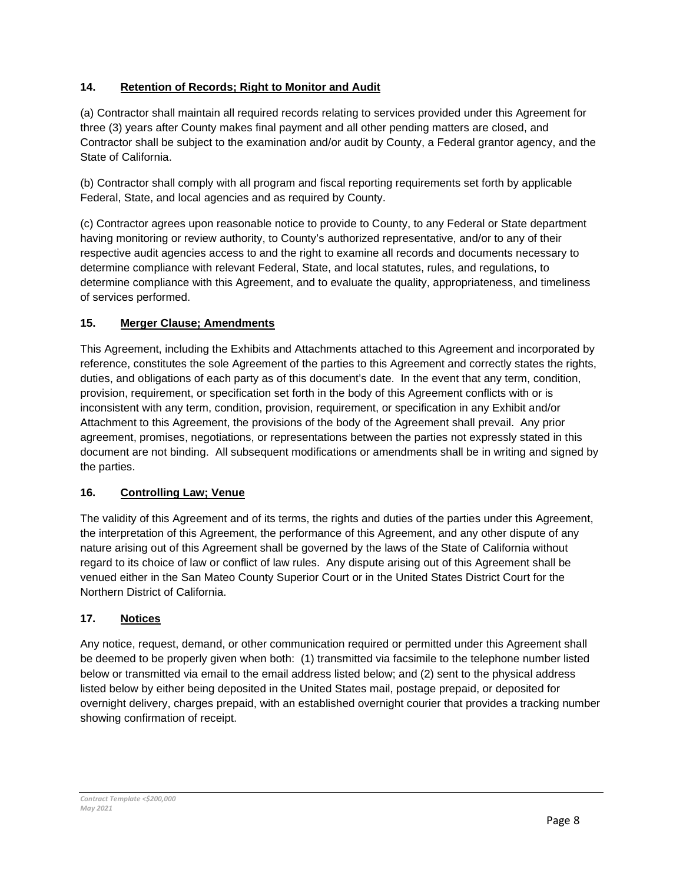## **14. Retention of Records; Right to Monitor and Audit**

(a) Contractor shall maintain all required records relating to services provided under this Agreement for three (3) years after County makes final payment and all other pending matters are closed, and Contractor shall be subject to the examination and/or audit by County, a Federal grantor agency, and the State of California.

(b) Contractor shall comply with all program and fiscal reporting requirements set forth by applicable Federal, State, and local agencies and as required by County.

(c) Contractor agrees upon reasonable notice to provide to County, to any Federal or State department having monitoring or review authority, to County's authorized representative, and/or to any of their respective audit agencies access to and the right to examine all records and documents necessary to determine compliance with relevant Federal, State, and local statutes, rules, and regulations, to determine compliance with this Agreement, and to evaluate the quality, appropriateness, and timeliness of services performed.

## **15. Merger Clause; Amendments**

This Agreement, including the Exhibits and Attachments attached to this Agreement and incorporated by reference, constitutes the sole Agreement of the parties to this Agreement and correctly states the rights, duties, and obligations of each party as of this document's date. In the event that any term, condition, provision, requirement, or specification set forth in the body of this Agreement conflicts with or is inconsistent with any term, condition, provision, requirement, or specification in any Exhibit and/or Attachment to this Agreement, the provisions of the body of the Agreement shall prevail. Any prior agreement, promises, negotiations, or representations between the parties not expressly stated in this document are not binding. All subsequent modifications or amendments shall be in writing and signed by the parties.

## **16. Controlling Law; Venue**

The validity of this Agreement and of its terms, the rights and duties of the parties under this Agreement, the interpretation of this Agreement, the performance of this Agreement, and any other dispute of any nature arising out of this Agreement shall be governed by the laws of the State of California without regard to its choice of law or conflict of law rules. Any dispute arising out of this Agreement shall be venued either in the San Mateo County Superior Court or in the United States District Court for the Northern District of California.

## **17. Notices**

Any notice, request, demand, or other communication required or permitted under this Agreement shall be deemed to be properly given when both: (1) transmitted via facsimile to the telephone number listed below or transmitted via email to the email address listed below; and (2) sent to the physical address listed below by either being deposited in the United States mail, postage prepaid, or deposited for overnight delivery, charges prepaid, with an established overnight courier that provides a tracking number showing confirmation of receipt.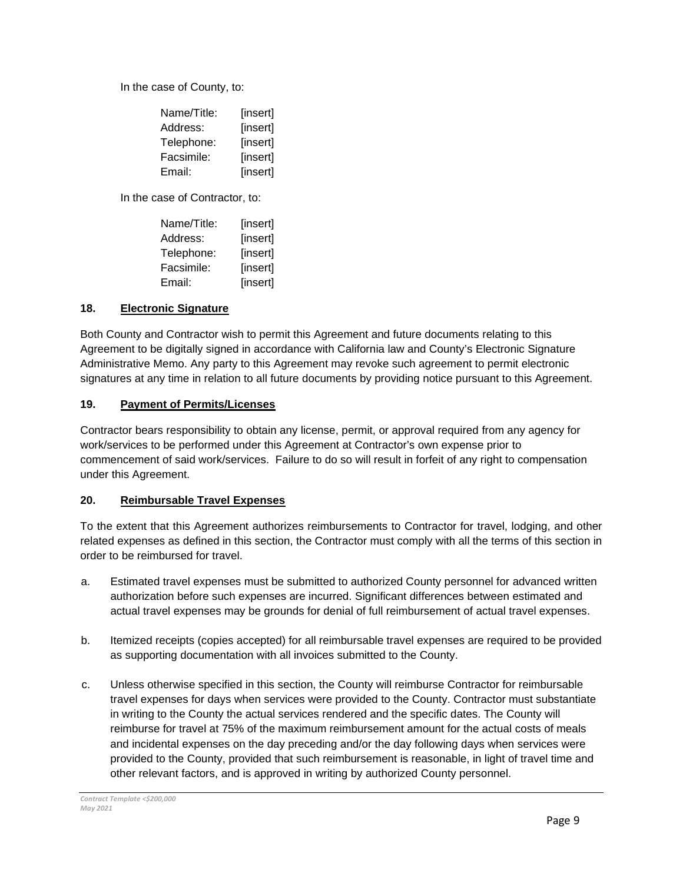In the case of County, to:

| Name/Title: | [insert] |
|-------------|----------|
| Address:    | [insert] |
| Telephone:  | [insert] |
| Facsimile:  | [insert] |
| Email:      | [insert] |

In the case of Contractor, to:

| Name/Title: | [insert] |
|-------------|----------|
| Address:    | [insert] |
| Telephone:  | [insert] |
| Facsimile:  | [insert] |
| Email:      | [insert] |

#### **18. Electronic Signature**

Both County and Contractor wish to permit this Agreement and future documents relating to this Agreement to be digitally signed in accordance with California law and County's Electronic Signature Administrative Memo. Any party to this Agreement may revoke such agreement to permit electronic signatures at any time in relation to all future documents by providing notice pursuant to this Agreement.

#### **19. Payment of Permits/Licenses**

Contractor bears responsibility to obtain any license, permit, or approval required from any agency for work/services to be performed under this Agreement at Contractor's own expense prior to commencement of said work/services. Failure to do so will result in forfeit of any right to compensation under this Agreement.

#### **20. Reimbursable Travel Expenses**

To the extent that this Agreement authorizes reimbursements to Contractor for travel, lodging, and other related expenses as defined in this section, the Contractor must comply with all the terms of this section in order to be reimbursed for travel.

- a. Estimated travel expenses must be submitted to authorized County personnel for advanced written authorization before such expenses are incurred. Significant differences between estimated and actual travel expenses may be grounds for denial of full reimbursement of actual travel expenses.
- b. Itemized receipts (copies accepted) for all reimbursable travel expenses are required to be provided as supporting documentation with all invoices submitted to the County.
- c. Unless otherwise specified in this section, the County will reimburse Contractor for reimbursable travel expenses for days when services were provided to the County. Contractor must substantiate in writing to the County the actual services rendered and the specific dates. The County will reimburse for travel at 75% of the maximum reimbursement amount for the actual costs of meals and incidental expenses on the day preceding and/or the day following days when services were provided to the County, provided that such reimbursement is reasonable, in light of travel time and other relevant factors, and is approved in writing by authorized County personnel.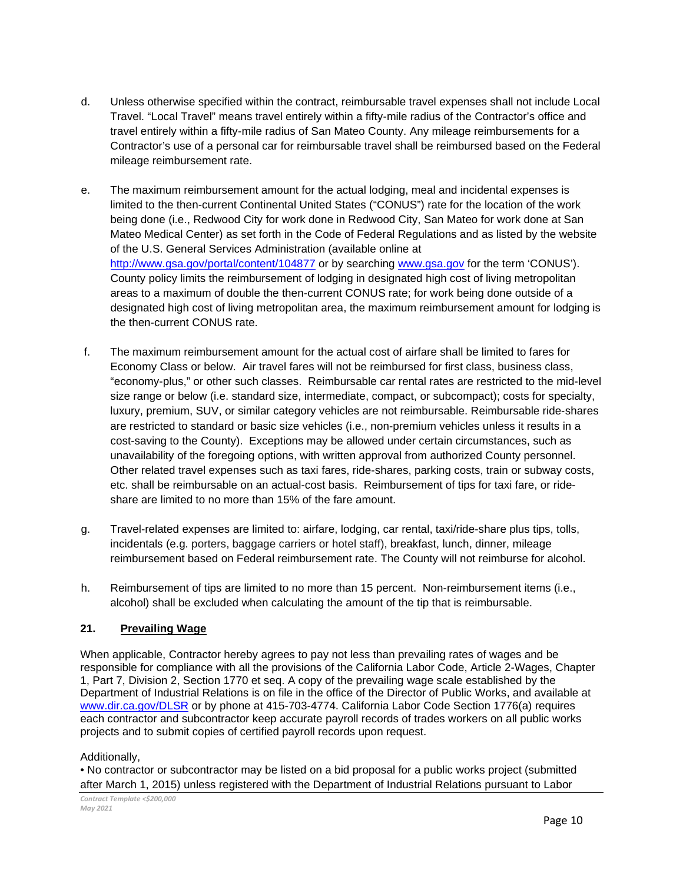- d. Unless otherwise specified within the contract, reimbursable travel expenses shall not include Local Travel. "Local Travel" means travel entirely within a fifty-mile radius of the Contractor's office and travel entirely within a fifty-mile radius of San Mateo County. Any mileage reimbursements for a Contractor's use of a personal car for reimbursable travel shall be reimbursed based on the Federal mileage reimbursement rate.
- e. The maximum reimbursement amount for the actual lodging, meal and incidental expenses is limited to the then-current Continental United States ("CONUS") rate for the location of the work being done (i.e., Redwood City for work done in Redwood City, San Mateo for work done at San Mateo Medical Center) as set forth in the Code of Federal Regulations and as listed by the website of the U.S. General Services Administration (available online at <http://www.gsa.gov/portal/content/104877> or by searching [www.gsa.gov](http://www.gsa.gov/) for the term 'CONUS'). County policy limits the reimbursement of lodging in designated high cost of living metropolitan areas to a maximum of double the then-current CONUS rate; for work being done outside of a designated high cost of living metropolitan area, the maximum reimbursement amount for lodging is the then-current CONUS rate.
- f. The maximum reimbursement amount for the actual cost of airfare shall be limited to fares for Economy Class or below. Air travel fares will not be reimbursed for first class, business class, "economy-plus," or other such classes. Reimbursable car rental rates are restricted to the mid-level size range or below (i.e. standard size, intermediate, compact, or subcompact); costs for specialty, luxury, premium, SUV, or similar category vehicles are not reimbursable. Reimbursable ride-shares are restricted to standard or basic size vehicles (i.e., non-premium vehicles unless it results in a cost-saving to the County). Exceptions may be allowed under certain circumstances, such as unavailability of the foregoing options, with written approval from authorized County personnel. Other related travel expenses such as taxi fares, ride-shares, parking costs, train or subway costs, etc. shall be reimbursable on an actual-cost basis. Reimbursement of tips for taxi fare, or rideshare are limited to no more than 15% of the fare amount.
- g. Travel-related expenses are limited to: airfare, lodging, car rental, taxi/ride-share plus tips, tolls, incidentals (e.g. porters, baggage carriers or hotel staff), breakfast, lunch, dinner, mileage reimbursement based on Federal reimbursement rate. The County will not reimburse for alcohol.
- h. Reimbursement of tips are limited to no more than 15 percent. Non-reimbursement items (i.e., alcohol) shall be excluded when calculating the amount of the tip that is reimbursable.

## **21. Prevailing Wage**

When applicable, Contractor hereby agrees to pay not less than prevailing rates of wages and be responsible for compliance with all the provisions of the California Labor Code, Article 2-Wages, Chapter 1, Part 7, Division 2, Section 1770 et seq. A copy of the prevailing wage scale established by the Department of Industrial Relations is on file in the office of the Director of Public Works, and available at [www.dir.ca.gov/DLSR](http://www.dir.ca.gov/DLSR) or by phone at 415-703-4774. California Labor Code Section 1776(a) requires each contractor and subcontractor keep accurate payroll records of trades workers on all public works projects and to submit copies of certified payroll records upon request.

#### Additionally,

• No contractor or subcontractor may be listed on a bid proposal for a public works project (submitted after March 1, 2015) unless registered with the Department of Industrial Relations pursuant to Labor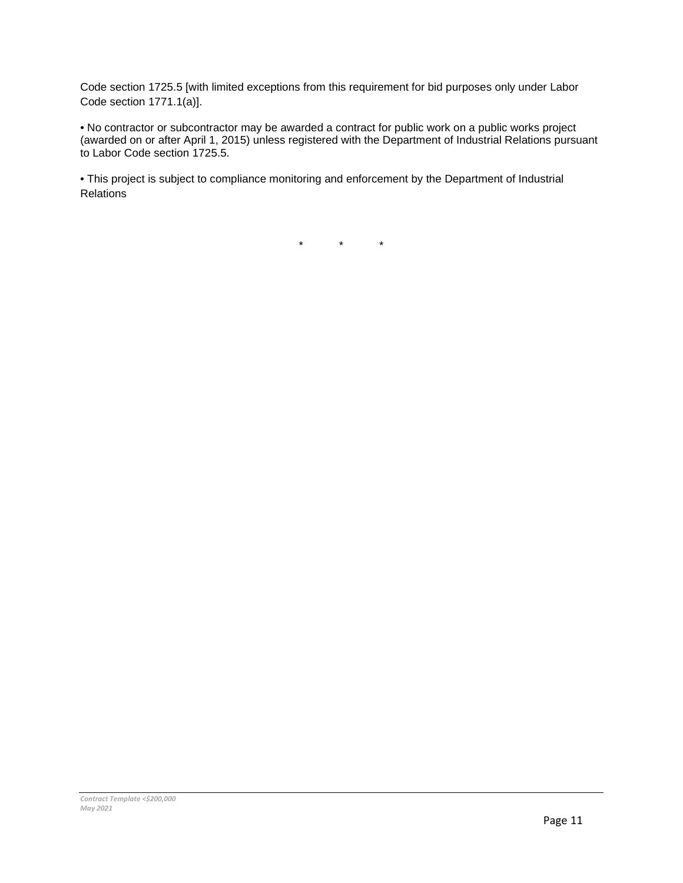Code section 1725.5 [with limited exceptions from this requirement for bid purposes only under Labor Code section 1771.1(a)].

• No contractor or subcontractor may be awarded a contract for public work on a public works project (awarded on or after April 1, 2015) unless registered with the Department of Industrial Relations pursuant to Labor Code section 1725.5.

• This project is subject to compliance monitoring and enforcement by the Department of Industrial Relations

 $\star$   $\star$   $\star$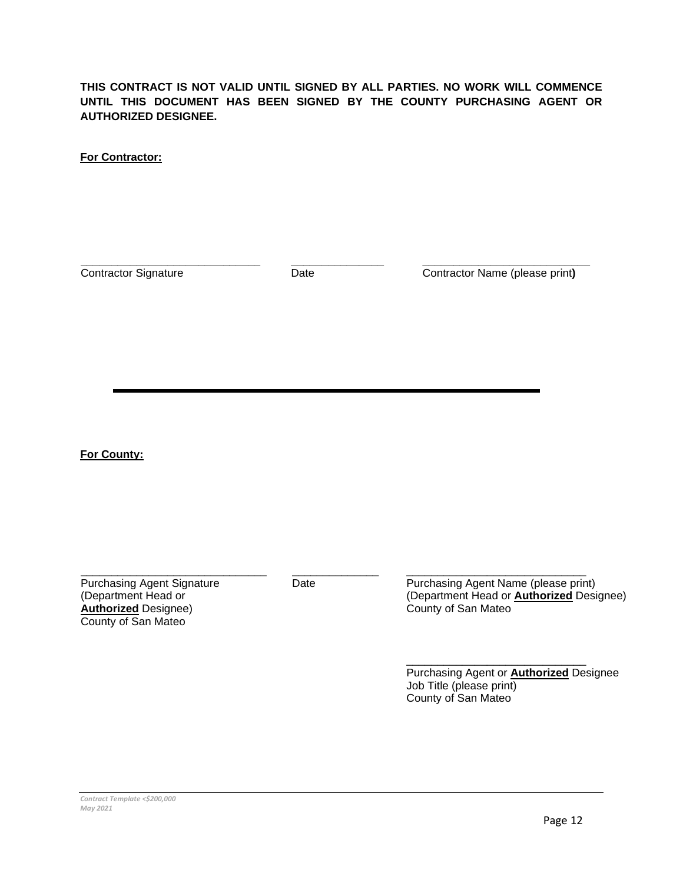**THIS CONTRACT IS NOT VALID UNTIL SIGNED BY ALL PARTIES. NO WORK WILL COMMENCE UNTIL THIS DOCUMENT HAS BEEN SIGNED BY THE COUNTY PURCHASING AGENT OR AUTHORIZED DESIGNEE.** 

**For Contractor:**

**\_\_\_\_\_\_\_\_\_\_\_\_\_\_\_\_\_\_\_\_\_\_\_\_\_\_\_\_\_** Contractor Signature

**\_\_\_\_\_\_\_\_\_\_\_\_\_\_\_** Date

**\_\_\_\_\_\_\_\_\_\_\_\_\_\_\_\_\_\_\_\_\_\_\_\_\_\_\_** Contractor Name (please print**)** 

**For County:**

Purchasing Agent Signature (Department Head or **Authorized** Designee) County of San Mateo

\_\_\_\_\_\_\_\_\_\_\_\_\_\_\_\_\_\_\_\_\_\_\_\_\_\_\_\_\_\_

 $\overline{\phantom{a}}$ Date

\_\_\_\_\_\_\_\_\_\_\_\_\_\_\_\_\_\_\_\_\_\_\_\_\_\_\_\_\_ Purchasing Agent Name (please print) (Department Head or **Authorized** Designee) County of San Mateo

\_\_\_\_\_\_\_\_\_\_\_\_\_\_\_\_\_\_\_\_\_\_\_\_\_\_\_\_\_ Purchasing Agent or **Authorized** Designee Job Title (please print) County of San Mateo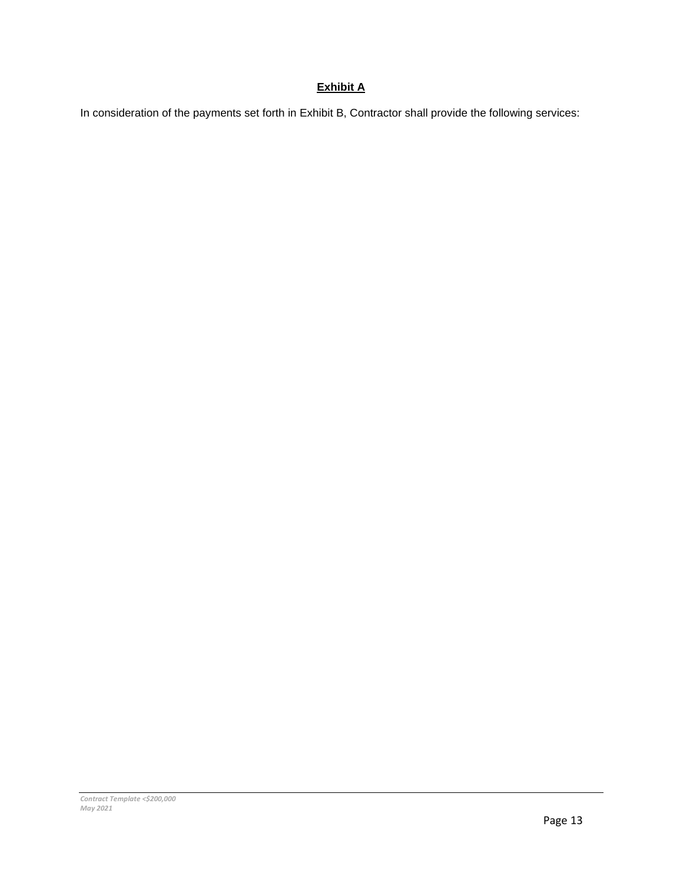## **Exhibit A**

In consideration of the payments set forth in Exhibit B, Contractor shall provide the following services: